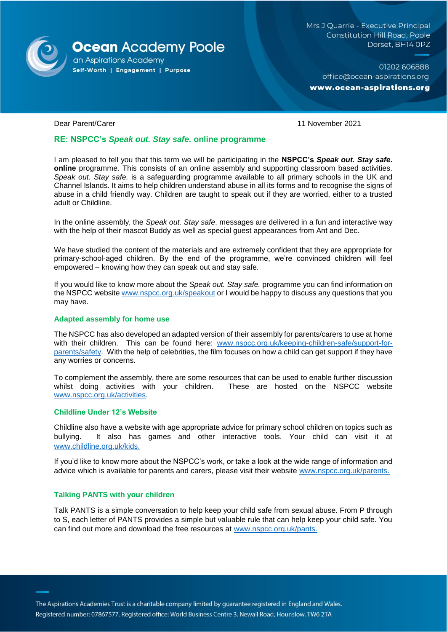

Mrs J Quarrie - Executive Principal **Constitution Hill Road, Poole** Dorset, BH14 OPZ

01202 606888 office@ocean-aspirations.org www.ocean-aspirations.org

Dear Parent/Carer 11 November 2021

# **RE: NSPCC's** *Speak out. Stay safe.* **online programme**

I am pleased to tell you that this term we will be participating in the **NSPCC's** *Speak out. Stay safe.* **online** programme. This consists of an online assembly and supporting classroom based activities. *Speak out. Stay safe.* is a safeguarding programme available to all primary schools in the UK and Channel Islands. It aims to help children understand abuse in all its forms and to recognise the signs of abuse in a child friendly way. Children are taught to speak out if they are worried, either to a trusted adult or Childline.

In the online assembly, the *Speak out. Stay safe*. messages are delivered in a fun and interactive way with the help of their mascot Buddy as well as special guest appearances from Ant and Dec.

We have studied the content of the materials and are extremely confident that they are appropriate for primary-school-aged children. By the end of the programme, we're convinced children will feel empowered – knowing how they can speak out and stay safe.

If you would like to know more about the *Speak out. Stay safe.* programme you can find information on the NSPCC website [www.nspcc.org.uk/speakout](http://www.nspcc.org.uk/speakout) or I would be happy to discuss any questions that you may have.

#### **Adapted assembly for home use**

The NSPCC has also developed an adapted version of their assembly for parents/carers to use at home with their children.This can be found here: [www.nspcc.org.uk/keeping-children-safe/support-for](http://www.nspcc.org.uk/keeping-children-safe/support-for-parents/safety)[parents/safety.](http://www.nspcc.org.uk/keeping-children-safe/support-for-parents/safety) With the help of celebrities, the film focuses on how a child can get support if they have any worries or concerns.

To complement the assembly, there are some resources that can be used to enable further discussion whilst doing activities with your children. These are hosted on the NSPCC website [www.nspcc.org.uk/activities.](http://www.nspcc.org.uk/activities)

### **Childline Under 12's Website**

Childline also have a website with age appropriate advice for primary school children on topics such as bullying. It also has games and other interactive tools. Your child can visit it at [www.childline.org.uk/kids.](http://www.childline.org.uk/kids)

If you'd like to know more about the NSPCC's work, or take a look at the wide range of information and advice which is available for parents and carers, please visit their website [www.nspcc.org.uk/parents.](http://www.nspcc.org.uk/parents)

## **Talking PANTS with your children**

Talk PANTS is a simple conversation to help keep your child safe from sexual abuse. From P through to S, each letter of PANTS provides a simple but valuable rule that can help keep your child safe. You can find out more and download the free resources at [www.nspcc.org.uk/pants.](http://www.nspcc.org.uk/pants)